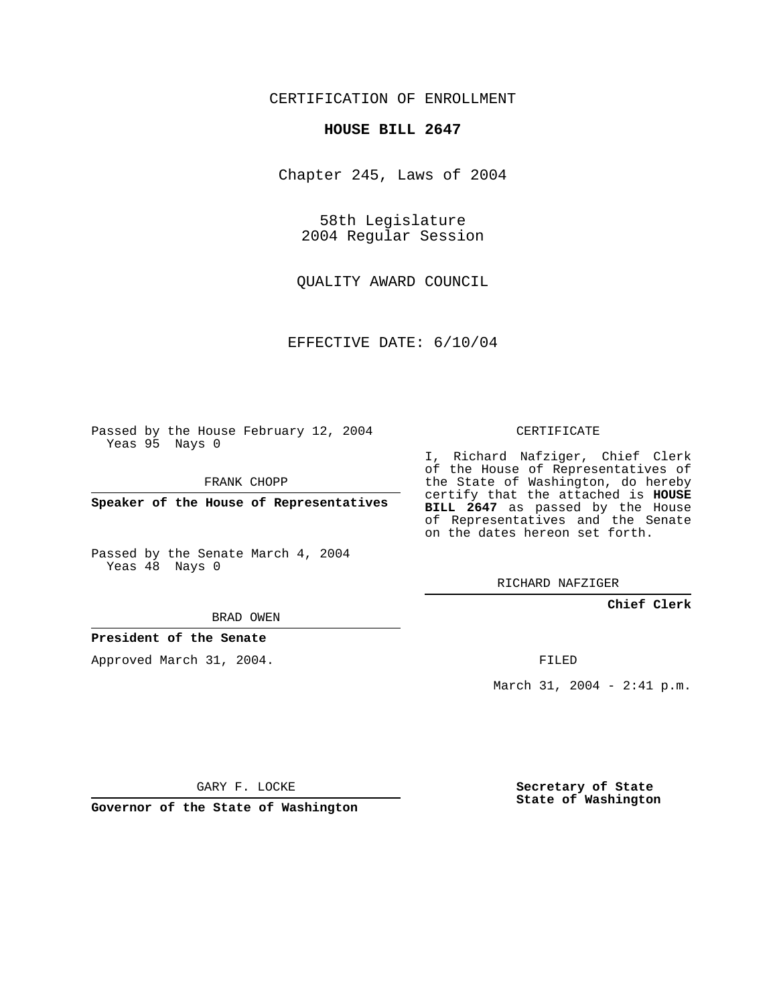## CERTIFICATION OF ENROLLMENT

#### **HOUSE BILL 2647**

Chapter 245, Laws of 2004

58th Legislature 2004 Regular Session

QUALITY AWARD COUNCIL

EFFECTIVE DATE: 6/10/04

Passed by the House February 12, 2004 Yeas 95 Nays 0

FRANK CHOPP

**Speaker of the House of Representatives**

Passed by the Senate March 4, 2004 Yeas 48 Nays 0

## BRAD OWEN

#### **President of the Senate**

Approved March 31, 2004.

CERTIFICATE

I, Richard Nafziger, Chief Clerk of the House of Representatives of the State of Washington, do hereby certify that the attached is **HOUSE BILL 2647** as passed by the House of Representatives and the Senate on the dates hereon set forth.

RICHARD NAFZIGER

**Chief Clerk**

FILED

March 31, 2004 - 2:41 p.m.

GARY F. LOCKE

**Governor of the State of Washington**

**Secretary of State State of Washington**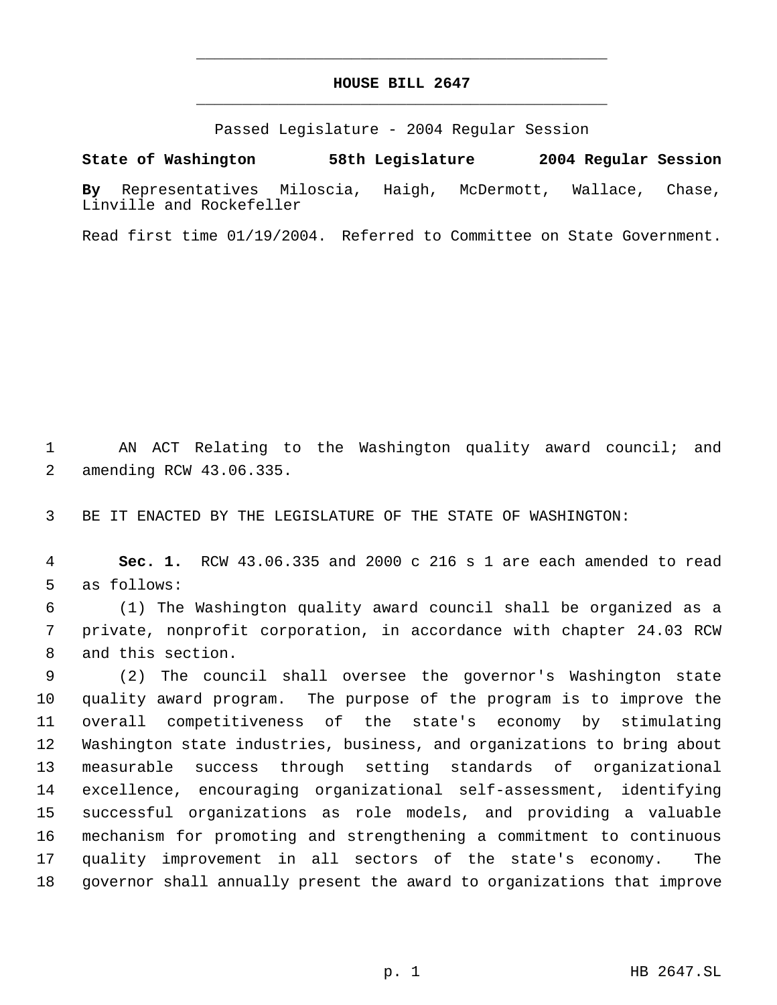# **HOUSE BILL 2647** \_\_\_\_\_\_\_\_\_\_\_\_\_\_\_\_\_\_\_\_\_\_\_\_\_\_\_\_\_\_\_\_\_\_\_\_\_\_\_\_\_\_\_\_\_

\_\_\_\_\_\_\_\_\_\_\_\_\_\_\_\_\_\_\_\_\_\_\_\_\_\_\_\_\_\_\_\_\_\_\_\_\_\_\_\_\_\_\_\_\_

Passed Legislature - 2004 Regular Session

**State of Washington 58th Legislature 2004 Regular Session By** Representatives Miloscia, Haigh, McDermott, Wallace, Chase, Linville and Rockefeller

Read first time 01/19/2004. Referred to Committee on State Government.

 AN ACT Relating to the Washington quality award council; and amending RCW 43.06.335.

BE IT ENACTED BY THE LEGISLATURE OF THE STATE OF WASHINGTON:

 **Sec. 1.** RCW 43.06.335 and 2000 c 216 s 1 are each amended to read as follows:

 (1) The Washington quality award council shall be organized as a private, nonprofit corporation, in accordance with chapter 24.03 RCW and this section.

 (2) The council shall oversee the governor's Washington state quality award program. The purpose of the program is to improve the overall competitiveness of the state's economy by stimulating Washington state industries, business, and organizations to bring about measurable success through setting standards of organizational excellence, encouraging organizational self-assessment, identifying successful organizations as role models, and providing a valuable mechanism for promoting and strengthening a commitment to continuous quality improvement in all sectors of the state's economy. The governor shall annually present the award to organizations that improve